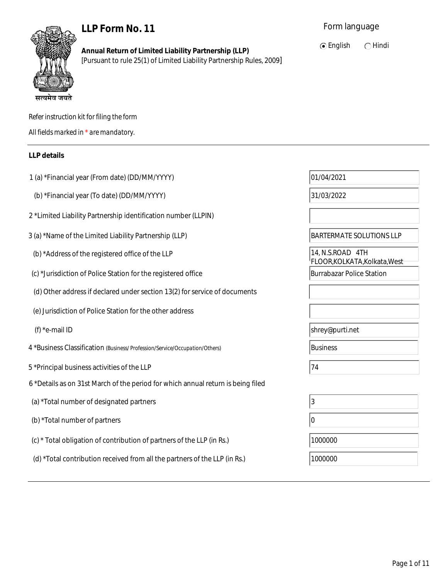# **LLP Form No. 11**



**Annual Return of Limited Liability Partnership (LLP)** [Pursuant to rule 25(1) of Limited Liability Partnership Rules, 2009]  $\odot$  English  $\odot$  Hindi

| Refer instruction kit for filing the form |
|-------------------------------------------|
| All fields marked in * are mandatory.     |

### **LLP details**

| 1 (a) *Financial year (From date) (DD/MM/YYYY)                                   | 01/04/2021                                        |
|----------------------------------------------------------------------------------|---------------------------------------------------|
| (b) *Financial year (To date) (DD/MM/YYYY)                                       | 31/03/2022                                        |
| 2 *Limited Liability Partnership identification number (LLPIN)                   |                                                   |
| 3 (a) *Name of the Limited Liability Partnership (LLP)                           | <b>BARTERMATE SOLUTIONS LLP</b>                   |
| (b) *Address of the registered office of the LLP                                 | 14, N.S.ROAD 4TH<br>FLOOR, KOLKATA, Kolkata, West |
| (c) *Jurisdiction of Police Station for the registered office                    | <b>Burrabazar Police Station</b>                  |
| (d) Other address if declared under section 13(2) for service of documents       |                                                   |
| (e) Jurisdiction of Police Station for the other address                         |                                                   |
| (f) *e-mail ID                                                                   | shrey@purti.net                                   |
|                                                                                  |                                                   |
| 4 *Business Classification (Business/Profession/Service/Occupation/Others)       | <b>Business</b>                                   |
| 5 *Principal business activities of the LLP                                      | 74                                                |
| 6 *Details as on 31st March of the period for which annual return is being filed |                                                   |
| (a) *Total number of designated partners                                         | 3                                                 |
| (b) *Total number of partners                                                    | 10                                                |
| (c) * Total obligation of contribution of partners of the LLP (in Rs.)           | 1000000                                           |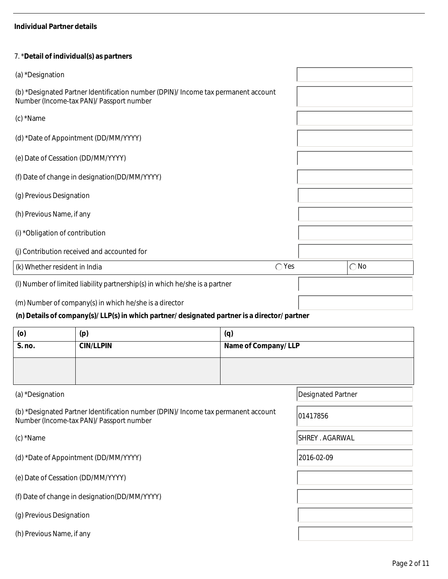#### **Individual Partner details**

#### 7. \***Detail of individual(s) as partners**

| (a) *Designation                                                                                                               |               |
|--------------------------------------------------------------------------------------------------------------------------------|---------------|
| (b) *Designated Partner Identification number (DPIN)/ Income tax permanent account<br>Number (Income-tax PAN)/ Passport number |               |
| (c) *Name                                                                                                                      |               |
| (d) *Date of Appointment (DD/MM/YYYY)                                                                                          |               |
| (e) Date of Cessation (DD/MM/YYYY)                                                                                             |               |
| (f) Date of change in designation(DD/MM/YYYY)                                                                                  |               |
| (g) Previous Designation                                                                                                       |               |
| (h) Previous Name, if any                                                                                                      |               |
| (i) *Obligation of contribution                                                                                                |               |
| (j) Contribution received and accounted for                                                                                    |               |
| $\bigcirc$ Yes<br>(k) Whether resident in India                                                                                | $\bigcirc$ No |
| (I) Number of limited liability partnership(s) in which he/she is a partner                                                    |               |
| (m) Number of company(s) in which he/she is a director                                                                         |               |
| (n) Details of company(s)/LLP(s) in which partner/ designated partner is a director/ partner                                   |               |

| (o)    | (p)              | (q)                 |
|--------|------------------|---------------------|
| S. no. | <b>CIN/LLPIN</b> | Name of Company/LLP |
|        |                  |                     |
|        |                  |                     |

(b) \*Designated Partner Identification number (DPIN)/ Income tax permanent account (b) Designated Fartner identification number (DFIN)/ income tax permanent account (101417856

(d) \*Date of Appointment (DD/MM/YYYY) 2016-02-09

- (e) Date of Cessation (DD/MM/YYYY)
- (f) Date of change in designation(DD/MM/YYYY)

(g) Previous Designation

(h) Previous Name, if any

(a) \*Designation Designation Designated Partner

(c) \*Name SHREY . AGARWAL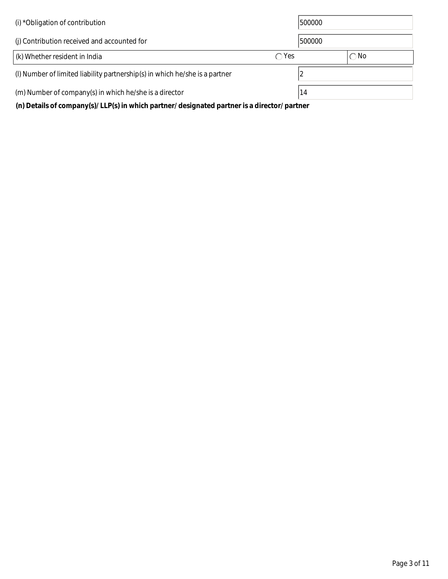| (i) *Obligation of contribution                                                              |                | 500000 |               |  |
|----------------------------------------------------------------------------------------------|----------------|--------|---------------|--|
| (i) Contribution received and accounted for                                                  |                | 500000 |               |  |
| (k) Whether resident in India                                                                | $\bigcirc$ Yes |        | $\bigcirc$ No |  |
| (I) Number of limited liability partnership(s) in which he/she is a partner                  |                |        |               |  |
| (m) Number of company(s) in which he/she is a director                                       |                | 14     |               |  |
| (n) Details of company(s)/LLP(s) in which partner/ designated partner is a director/ partner |                |        |               |  |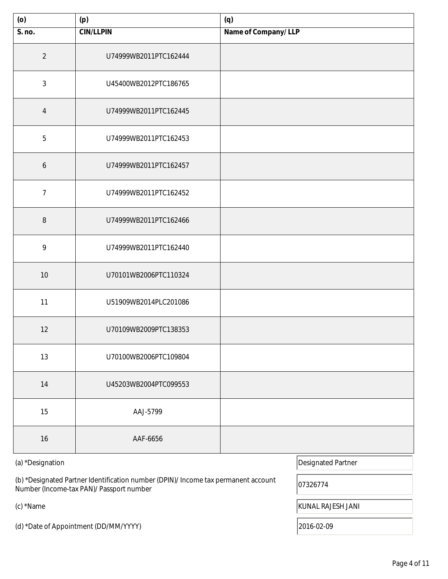| (0)            | (p)<br>(q)            |                     |
|----------------|-----------------------|---------------------|
| S. no.         | <b>CIN/LLPIN</b>      | Name of Company/LLP |
| $\overline{2}$ | U74999WB2011PTC162444 |                     |
| $\mathfrak{Z}$ | U45400WB2012PTC186765 |                     |
| $\overline{4}$ | U74999WB2011PTC162445 |                     |
| $\overline{5}$ | U74999WB2011PTC162453 |                     |
| 6              | U74999WB2011PTC162457 |                     |
| $\overline{7}$ | U74999WB2011PTC162452 |                     |
| $\, 8$         | U74999WB2011PTC162466 |                     |
| 9              | U74999WB2011PTC162440 |                     |
| $10$           | U70101WB2006PTC110324 |                     |
| 11             | U51909WB2014PLC201086 |                     |
| 12             | U70109WB2009PTC138353 |                     |
| 13             | U70100WB2006PTC109804 |                     |
| 14             | U45203WB2004PTC099553 |                     |
| 15             | AAJ-5799              |                     |
| $16$           | AAF-6656              |                     |

(b) \*Designated Partner Identification number (DPIN)/ Income tax permanent account (b) Designated Partifier Identification number (DPIN)/ income tax permanent account (07326774<br>Number (Income-tax PAN)/ Passport number

(d) \*Date of Appointment (DD/MM/YYYY) 2016-02-09

(a) \*Designation Designation Designated Partner

(c) \*Name KUNAL RAJESH JANI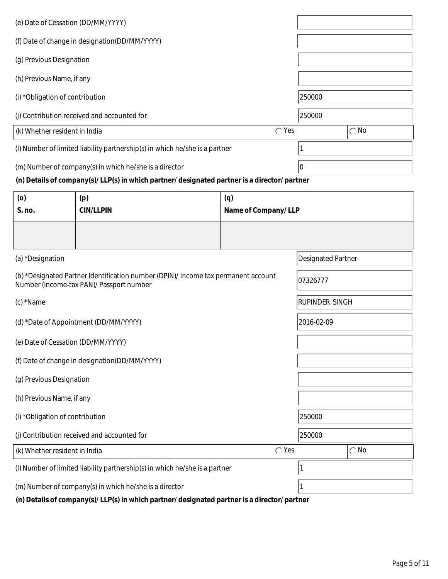| (e) Date of Cessation (DD/MM/YYYY)                                                           |        |               |
|----------------------------------------------------------------------------------------------|--------|---------------|
| (f) Date of change in designation(DD/MM/YYYY)                                                |        |               |
| (g) Previous Designation                                                                     |        |               |
| (h) Previous Name, if any                                                                    |        |               |
| (i) *Obligation of contribution                                                              | 250000 |               |
| (j) Contribution received and accounted for                                                  | 250000 |               |
| $\bigcirc$ Yes<br>(k) Whether resident in India                                              |        | $\bigcirc$ No |
| (I) Number of limited liability partnership(s) in which he/she is a partner                  |        |               |
| (m) Number of company(s) in which he/she is a director                                       | 10     |               |
| (n) Details of company(s)/LLP(s) in which partner/ designated partner is a director/ partner |        |               |

| (0)                                                                         | (p)                                                                                                                            | (q)                 |                           |               |
|-----------------------------------------------------------------------------|--------------------------------------------------------------------------------------------------------------------------------|---------------------|---------------------------|---------------|
| S. no.                                                                      | <b>CIN/LLPIN</b>                                                                                                               | Name of Company/LLP |                           |               |
|                                                                             |                                                                                                                                |                     |                           |               |
| (a) *Designation                                                            |                                                                                                                                |                     | <b>Designated Partner</b> |               |
|                                                                             | (b) *Designated Partner Identification number (DPIN)/ Income tax permanent account<br>Number (Income-tax PAN)/ Passport number |                     | 07326777                  |               |
| (c) *Name                                                                   |                                                                                                                                |                     | <b>RUPINDER SINGH</b>     |               |
| 2016-02-09<br>(d) *Date of Appointment (DD/MM/YYYY)                         |                                                                                                                                |                     |                           |               |
| (e) Date of Cessation (DD/MM/YYYY)                                          |                                                                                                                                |                     |                           |               |
|                                                                             | (f) Date of change in designation(DD/MM/YYYY)                                                                                  |                     |                           |               |
| (g) Previous Designation                                                    |                                                                                                                                |                     |                           |               |
| (h) Previous Name, if any                                                   |                                                                                                                                |                     |                           |               |
| (i) *Obligation of contribution                                             |                                                                                                                                |                     | 250000                    |               |
| (j) Contribution received and accounted for                                 |                                                                                                                                |                     | 250000                    |               |
| (k) Whether resident in India                                               |                                                                                                                                | $\bigcirc$ Yes      |                           | $\bigcirc$ No |
| (I) Number of limited liability partnership(s) in which he/she is a partner |                                                                                                                                |                     |                           |               |
|                                                                             | (m) Number of company(s) in which he/she is a director                                                                         | 1                   |                           |               |

 **(n) Details of company(s)/ LLP(s) in which partner/ designated partner is a director/ partner**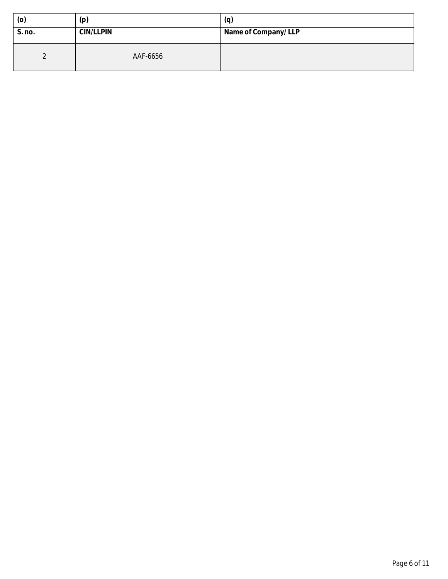| (0)    | (p)              | (q)                 |
|--------|------------------|---------------------|
| S. no. | <b>CIN/LLPIN</b> | Name of Company/LLP |
|        | AAF-6656         |                     |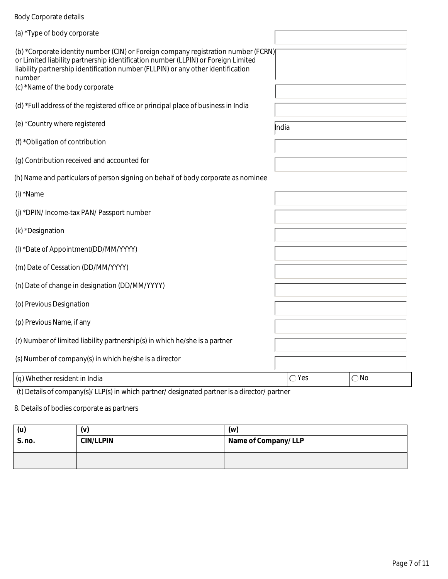# Body Corporate details

| (a) *Type of body corporate                                                                                                                                                                                                                                                                              |                |               |  |  |  |
|----------------------------------------------------------------------------------------------------------------------------------------------------------------------------------------------------------------------------------------------------------------------------------------------------------|----------------|---------------|--|--|--|
| (b) *Corporate identity number (CIN) or Foreign company registration number (FCRN)<br>or Limited liability partnership identification number (LLPIN) or Foreign Limited<br>liability partnership identification number (FLLPIN) or any other identification<br>number<br>(c) *Name of the body corporate |                |               |  |  |  |
| (d) *Full address of the registered office or principal place of business in India                                                                                                                                                                                                                       |                |               |  |  |  |
| (e) *Country where registered                                                                                                                                                                                                                                                                            | <b>I</b> ndia  |               |  |  |  |
| (f) *Obligation of contribution                                                                                                                                                                                                                                                                          |                |               |  |  |  |
| (g) Contribution received and accounted for                                                                                                                                                                                                                                                              |                |               |  |  |  |
| (h) Name and particulars of person signing on behalf of body corporate as nominee                                                                                                                                                                                                                        |                |               |  |  |  |
| (i) *Name                                                                                                                                                                                                                                                                                                |                |               |  |  |  |
| (j) *DPIN/ Income-tax PAN/ Passport number                                                                                                                                                                                                                                                               |                |               |  |  |  |
| (k) *Designation                                                                                                                                                                                                                                                                                         |                |               |  |  |  |
| (I) *Date of Appointment(DD/MM/YYYY)                                                                                                                                                                                                                                                                     |                |               |  |  |  |
| (m) Date of Cessation (DD/MM/YYYY)                                                                                                                                                                                                                                                                       |                |               |  |  |  |
| (n) Date of change in designation (DD/MM/YYYY)                                                                                                                                                                                                                                                           |                |               |  |  |  |
| (o) Previous Designation                                                                                                                                                                                                                                                                                 |                |               |  |  |  |
| (p) Previous Name, if any                                                                                                                                                                                                                                                                                |                |               |  |  |  |
| (r) Number of limited liability partnership(s) in which he/she is a partner                                                                                                                                                                                                                              |                |               |  |  |  |
| (s) Number of company(s) in which he/she is a director                                                                                                                                                                                                                                                   |                |               |  |  |  |
| (q) Whether resident in India                                                                                                                                                                                                                                                                            | $\bigcirc$ Yes | $\bigcirc$ No |  |  |  |
| (t) Details of company(s)/LLP(s) in which partner/designated partner is a director/partner                                                                                                                                                                                                               |                |               |  |  |  |

8. Details of bodies corporate as partners

| (u)    | (v)              | (w)                 |
|--------|------------------|---------------------|
| S. no. | <b>CIN/LLPIN</b> | Name of Company/LLP |
|        |                  |                     |
|        |                  |                     |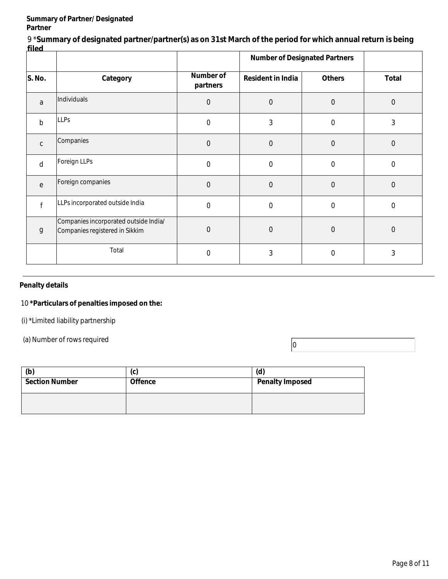#### **Summary of Partner/ Designated Partner**

9 \***Summary of designated partner/partner(s) as on 31st March of the period for which annual return is being filed**

| ୴୴୴          |                                                                         |                              | <b>Number of Designated Partners</b> |                  |                |
|--------------|-------------------------------------------------------------------------|------------------------------|--------------------------------------|------------------|----------------|
| S. No.       | Category                                                                | <b>Number of</b><br>partners | <b>Resident in India</b>             | <b>Others</b>    | <b>Total</b>   |
| a            | Individuals                                                             | $\boldsymbol{0}$             | $\mathbf 0$                          | $\boldsymbol{0}$ | $\mathbf 0$    |
| $\mathsf b$  | <b>LLPs</b>                                                             | $\mathbf 0$                  | 3                                    | $\overline{0}$   | 3              |
| $\mathsf{C}$ | Companies                                                               | $\mathbf 0$                  | $\mathbf 0$                          | $\mathbf 0$      | $\Omega$       |
| d            | Foreign LLPs                                                            | $\boldsymbol{0}$             | $\mathbf 0$                          | $\mathbf 0$      | $\mathbf 0$    |
| e            | Foreign companies                                                       | $\mathbf 0$                  | $\Omega$                             | $\overline{0}$   | $\Omega$       |
|              | LLPs incorporated outside India                                         | $\mathbf 0$                  | $\overline{0}$                       | $\mathbf 0$      | $\overline{0}$ |
| $\mathsf g$  | Companies incorporated outside India/<br>Companies registered in Sikkim | $\mathbf 0$                  | $\mathbf 0$                          | $\boldsymbol{0}$ | $\mathbf 0$    |
|              | Total                                                                   | $\mathbf 0$                  | 3                                    | $\Omega$         | 3              |

#### **Penalty details**

#### 10 **\*Particulars of penalties imposed on the:**

(i) \*Limited liability partnership

(a) Number of rows required  $\boxed{0}$ 

| (b)                   | Ir<br>ιч,      | (d)                    |
|-----------------------|----------------|------------------------|
| <b>Section Number</b> | <b>Offence</b> | <b>Penalty Imposed</b> |
|                       |                |                        |
|                       |                |                        |
|                       |                |                        |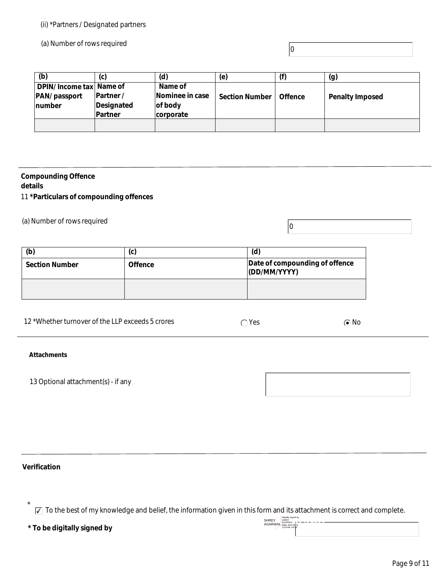#### (ii) \*Partners / Designated partners

(a) Number of rows required

#### **(b) (c) (d) (e) (f) (g) DPIN/ Income tax Name of PAN/ passport number Partner / Designated Partner Name of Nominee in case of body corporate Section Number | Offence | Penalty Imposed**

 $|0\rangle$ 

#### **Compounding Offence details**

11 **\*Particulars of compounding offences** 

(a) Number of rows required  $\boxed{0}$ 

| (b)                   | (c)            | (d)                                            |
|-----------------------|----------------|------------------------------------------------|
| <b>Section Number</b> | <b>Offence</b> | Date of compounding of offence<br>(DD/MM/YYYY) |
|                       |                |                                                |

| 12 *Whether turnover of the LLP exceeds 5 crores | `Yes | $\cap$ No |
|--------------------------------------------------|------|-----------|
|--------------------------------------------------|------|-----------|

#### **Attachments**

13 Optional attachment(s) - if any



## **Verification**

\*

✔ To the best of my knowledge and belief, the information given in this form and its attachment is correct and complete.

|                             | --------<br>AGARWAL POWER - - - |
|-----------------------------|---------------------------------|
|                             | AGARWAL Date: 2022.06.01        |
| * To be digitally signed by | 13:00:48 +05 30                 |
|                             |                                 |

| SHREY<br><b>AGARWAL</b> | Digitally signed by<br>SHREY<br>AGARWAL<br>Date: 2022 06:01<br>13:00:48 +05 30" |
|-------------------------|---------------------------------------------------------------------------------|
|                         |                                                                                 |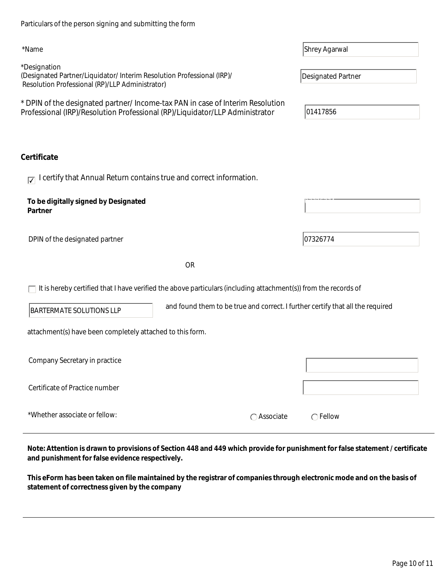| Page 10 of 11 |
|---------------|

| ertificate                                                                                                             |                                                                                |                  |
|------------------------------------------------------------------------------------------------------------------------|--------------------------------------------------------------------------------|------------------|
| $\overline{V}$ I certify that Annual Return contains true and correct information.                                     |                                                                                |                  |
| To be digitally signed by Designated<br>Partner                                                                        |                                                                                |                  |
| DPIN of the designated partner                                                                                         |                                                                                | 07326774         |
|                                                                                                                        | <b>OR</b>                                                                      |                  |
| $\Box$ It is hereby certified that I have verified the above particulars (including attachment(s)) from the records of |                                                                                |                  |
| <b>BARTERMATE SOLUTIONS LLP</b>                                                                                        | and found them to be true and correct. I further certify that all the required |                  |
| attachment(s) have been completely attached to this form.                                                              |                                                                                |                  |
| Company Secretary in practice                                                                                          |                                                                                |                  |
| Certificate of Practice number                                                                                         |                                                                                |                  |
| *Whether associate or fellow:                                                                                          | $\bigcap$ Associate                                                            | $\bigcap$ Fellow |

\*Designation (Designated Partner/Liquidator/ Interim Resolution Professional (IRP)/ Resolution Professional (RP)/LLP Administrator)

\* DPIN of the designated partner/ Income-tax PAN in case of Interim Resolution Professional (IRP)/Resolution Professional (RP)/Liquidator/LLP Administrator | 01417856

# Ce

| Note: Attention is drawn to provisions of Section 448 and 449 which provide for punishment for false statement / certificate |
|------------------------------------------------------------------------------------------------------------------------------|
| and punishment for false evidence respectively.                                                                              |

**This eForm has been taken on file maintained by the registrar of companies through electronic mode and on the basis of statement of correctness given by the company** 

Particulars of the person signing and submitting the form

\*Name Shrey Agarwal

Designated Partner